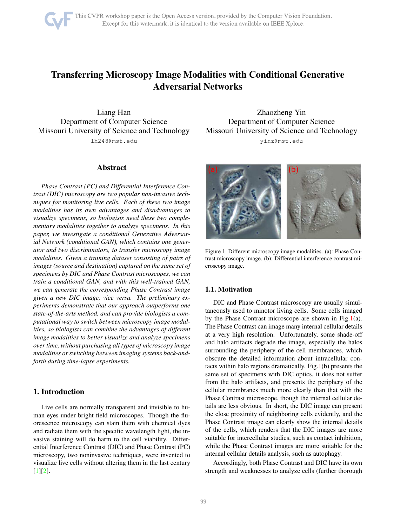# <span id="page-0-1"></span>Transferring Microscopy Image Modalities with Conditional Generative Adversarial Networks

Liang Han Department of Computer Science Missouri University of Science and Technology lh248@mst.edu

## Abstract

*Phase Contrast (PC) and Differential Interference Contrast (DIC) microscopy are two popular non-invasive techniques for monitoring live cells. Each of these two image modalities has its own advantages and disadvantages to visualize specimens, so biologists need these two complementary modalities together to analyze specimens. In this paper, we investigate a conditional Generative Adversarial Network (conditional GAN), which contains one generator and two discriminators, to transfer microscopy image modalities. Given a training dataset consisting of pairs of images (source and destination) captured on the same set of specimens by DIC and Phase Contrast microscopes, we can train a conditional GAN, and with this well-trained GAN, we can generate the corresponding Phase Contrast image given a new DIC image, vice versa. The preliminary experiments demonstrate that our approach outperforms one state-of-the-arts method, and can provide biologists a computational way to switch between microscopy image modalities, so biologists can combine the advantages of different image modalities to better visualize and analyze specimens over time, without purchasing all types of microscopy image modalities or switching between imaging systems back-andforth during time-lapse experiments.*

# 1. Introduction

Live cells are normally transparent and invisible to human eyes under bright field microscopes. Though the fluorescence microscopy can stain them with chemical dyes and radiate them with the specific wavelength light, the invasive staining will do harm to the cell viability. Differential Interference Contrast (DIC) and Phase Contrast (PC) microscopy, two noninvasive techniques, were invented to visualize live cells without altering them in the last century [\[1\]](#page-8-0)[\[2\]](#page-8-1).

Zhaozheng Yin Department of Computer Science Missouri University of Science and Technology yinz@mst.edu



Figure 1. Different microscopy image modalities. (a): Phase Contrast microscopy image. (b): Differential interference contrast microscopy image.

## <span id="page-0-0"></span>1.1. Motivation

DIC and Phase Contrast microscopy are usually simultaneously used to minotor living cells. Some cells imaged by the Phase Contrast microscope are shown in Fig[.1\(](#page-0-0)a). The Phase Contrast can image many internal cellular details at a very high resolution. Unfortunately, some shade-off and halo artifacts degrade the image, especially the halos surrounding the periphery of the cell membrances, which obscure the detailed information about intracellular contacts within halo regions dramatically. Fig.  $1(b)$  presents the same set of specimens with DIC optics, it does not suffer from the halo artifacts, and presents the periphery of the cellular membranes much more clearly than that with the Phase Contrast microscope, though the internal cellular details are less obvious. In short, the DIC image can present the close proximity of neighboring cells evidently, and the Phase Contrast image can clearly show the internal details of the cells, which renders that the DIC images are more suitable for intercellular studies, such as contact inhibition, while the Phase Contrast images are more suitable for the internal cellular details analysis, such as autophagy.

Accordingly, both Phase Contrast and DIC have its own strength and weaknesses to analyze cells (further thorough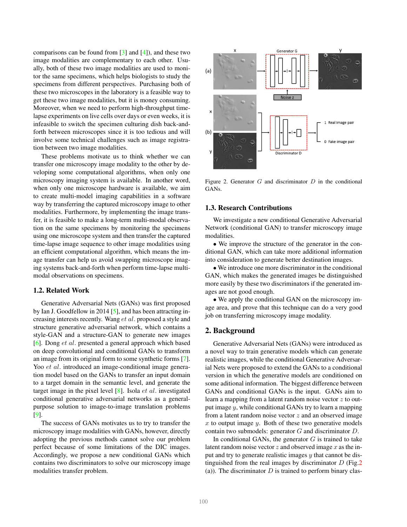<span id="page-1-1"></span>comparisons can be found from  $\lceil 3 \rceil$  and  $\lceil 4 \rceil$ ), and these two image modalities are complementary to each other. Usually, both of these two image modalities are used to monitor the same specimens, which helps biologists to study the specimens from different perspectives. Purchasing both of these two microscopes in the laboratory is a feasible way to get these two image modalities, but it is money consuming. Moreover, when we need to perform high-throughput timelapse experiments on live cells over days or even weeks, it is infeasible to switch the specimen culturing dish back-andforth between microscopes since it is too tedious and will involve some technical challenges such as image registration between two image modalities.

These problems motivate us to think whether we can transfer one microscopy image modality to the other by developing some computational algorithms, when only one microscopy imaging system is available. In another word, when only one microscope hardware is available, we aim to create multi-model imaging capabilities in a software way by transferring the captured microscopy image to other modalities. Furthermore, by implementing the image transfer, it is feasible to make a long-term multi-modal observation on the same specimens by monitoring the specimens using one microscope system and then transfer the captured time-lapse image sequence to other image modalities using an efficient computational algorithm, which means the image transfer can help us avoid swapping microscope imaging systems back-and-forth when perform time-lapse multimodal observations on specimens.

## 1.2. Related Work

Generative Adversarial Nets (GANs) was first proposed by Ian J. Goodfellow in 2014 [\[5\]](#page-8-4), and has been attracting increasing interests recently. Wang et al. proposed a style and structure generative adversarial network, which contains a style-GAN and a structure-GAN to generate new images [\[6\]](#page-8-5). Dong et al. presented a general approach which based on deep convolutional and conditional GANs to transform an image from its original form to some synthetic forms [\[7\]](#page-8-6). Yoo *et al.* introduced an image-conditional image generation model based on the GANs to transfer an input domain to a target domain in the semantic level, and generate the target image in the pixel level  $[8]$ . Isola *et al.* investigated conditional generative adversarial networks as a generalpurpose solution to image-to-image translation problems [\[9\]](#page-8-8).

The success of GANs motivates us to try to transfer the microscopy image modalities with GANs, however, directly adopting the previous methods cannot solve our problem perfect because of some limitations of the DIC images. Accordingly, we propose a new conditional GANs which contains two discriminators to solve our microscopy image modalities transfer problem.



<span id="page-1-0"></span>Figure 2. Generator  $G$  and discriminator  $D$  in the conditional GANs.

## 1.3. Research Contributions

We investigate a new conditional Generative Adversarial Network (conditional GAN) to transfer microscopy image modalities.

• We improve the structure of the generator in the conditional GAN, which can take more additional information into consideration to generate better destination images.

• We introduce one more discriminator in the conditional GAN, which makes the generated images be distinguished more easily by these two discriminators if the generated images are not good enough.

• We apply the conditional GAN on the microscopy image area, and prove that this technique can do a very good job on transferring microscopy image modality.

## 2. Background

Generative Adversarial Nets (GANs) were introduced as a novel way to train generative models which can generate realistic images, while the conditional Generative Adversarial Nets were proposed to extend the GANs to a conditional version in which the generative models are conditioned on some aditional information. The biggest difference between GANs and conditional GANs is the input. GANs aim to learn a mapping from a latent random noise vector  $z$  to output image y, while conditional GANs try to learn a mapping from a latent random noise vector  $z$  and an observed image x to output image  $y$ . Both of these two generative models contain two submodels: generator G and discriminator D.

In conditional GANs, the generator  $G$  is trained to take latent random noise vector  $z$  and observed image  $x$  as the input and try to generate realistic images  $y$  that cannot be distinguished from the real images by discriminator  $D$  (Fig[.2](#page-1-0)) (a)). The discriminator  $D$  is trained to perform binary clas-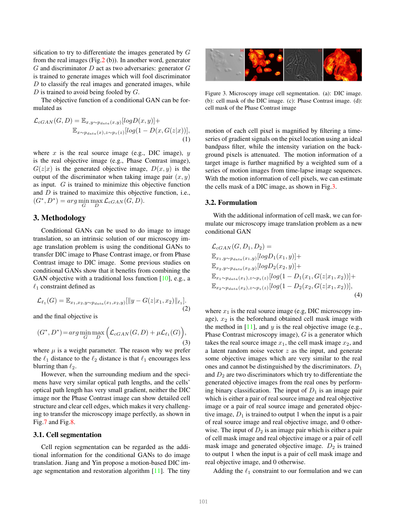<span id="page-2-1"></span>sification to try to differentiate the images generated by G from the real images (Fig[.2](#page-1-0)  $(b)$ ). In another word, generator  $G$  and discriminator  $D$  act as two adversaries: generator  $G$ is trained to generate images which will fool discriminator  $D$  to classify the real images and generated images, while  $D$  is trained to avoid being fooled by  $G$ .

The objective function of a conditional GAN can be formulated as

$$
\mathcal{L}_{cGAN}(G, D) = \mathbb{E}_{x, y \sim p_{data}(x, y)}[logD(x, y)] +
$$
  

$$
\mathbb{E}_{x \sim p_{data}(x), z \sim p_z(z)}[log(1 - D(x, G(z|x))],
$$
  
(1)

where  $x$  is the real source image (e.g., DIC image),  $y$ is the real objective image (e.g., Phase Contrast image),  $G(z|x)$  is the generated objective image,  $D(x, y)$  is the output of the discriminator when taking image pair  $(x, y)$ as input. G is trained to minimize this objective function and  $D$  is trained to maximize this objective function, i.e.,  $(G^*, D^*) = \arg\min_G \max_D \mathcal{L}_{cGAN}(G, D).$ 

## 3. Methodology

Conditional GANs can be used to do image to image translation, so an intrinsic solution of our microscopy image translation problem is using the conditional GANs to transfer DIC image to Phase Contrast image, or from Phase Contrast image to DIC image. Some previous studies on conditional GANs show that it benefits from combining the GAN objective with a traditional loss function [\[10\]](#page-8-9), e.g., a  $\ell_1$  constraint defined as

$$
\mathcal{L}_{\ell_1}(G) = \mathbb{E}_{x_1, x_2, y \sim p_{data}(x_1, x_2, y)}[\|y - G(z|x_1, x_2)\|_{\ell_1}].
$$
\n(2)

and the final objective is

$$
(G^*, D^*) = \arg\min_G \max_D \Big( \mathcal{L}_{cGAN}(G, D) + \mu \mathcal{L}_{\ell_1}(G) \Big),\tag{3}
$$

where  $\mu$  is a weight parameter. The reason why we prefer the  $\ell_1$  distance to the  $\ell_2$  distance is that  $\ell_1$  encourages less blurring than  $\ell_2$ .

However, when the surrounding medium and the specimens have very similar optical path lengths, and the cells' optical path length has very small gradient, neither the DIC image nor the Phase Contrast image can show detailed cell structure and clear cell edges, which makes it very challenging to transfer the microscopy image perfectly, as shown in Fig[.7](#page-7-0) and Fig[.8.](#page-7-1)

#### 3.1. Cell segmentation

Cell region segmentation can be regarded as the additional information for the conditional GANs to do image translation. Jiang and Yin propose a motion-based DIC image segmentation and restoration algorithm [\[11\]](#page-8-10). The tiny



Figure 3. Microscopy image cell segmentation. (a): DIC image. (b): cell mask of the DIC image. (c): Phase Contrast image. (d): cell mask of the Phase Contrast image

<span id="page-2-0"></span>motion of each cell pixel is magnified by filtering a timeseries of gradient signals on the pixel location using an ideal bandpass filter, while the intensity variation on the background pixels is attenuated. The motion information of a target image is further magnified by a weighted sum of a series of motion images from time-lapse image sequences. With the motion information of cell pixels, we can estimate the cells mask of a DIC image, as shown in Fig[.3.](#page-2-0)

## 3.2. Formulation

With the additional information of cell mask, we can formulate our microscopy image translation problem as a new conditional GAN

$$
\mathcal{L}_{cGAN}(G, D_1, D_2) =
$$
\n
$$
\mathbb{E}_{x_1, y \sim p_{data}(x_1, y)}[logD_1(x_1, y)] +
$$
\n
$$
\mathbb{E}_{x_2, y \sim p_{data}(x_2, y)}[logD_2(x_2, y)] +
$$
\n
$$
\mathbb{E}_{x_1 \sim p_{data}(x_1), z \sim p_z(z)}[log(1 - D_1(x_1, G(z|x_1, x_2))] +
$$
\n
$$
\mathbb{E}_{x_2 \sim p_{data}(x_2), z \sim p_z(z)}[log(1 - D_2(x_2, G(z|x_1, x_2))],
$$
\n(4)

where  $x_1$  is the real source image (e.g, DIC microscopy image),  $x_2$  is the beforehand obtained cell mask image with the method in  $[11]$ , and y is the real objective image (e.g., Phase Contrast microscopy image),  $G$  is a generator which takes the real source image  $x_1$ , the cell mask image  $x_2$ , and a latent random noise vector  $z$  as the input, and generate some objective images which are very similar to the real ones and cannot be distinguished by the discriminators.  $D_1$ and  $D_2$  are two discriminators which try to differentiate the generated objective images from the real ones by performing binary classification. The input of  $D_1$  is an image pair which is either a pair of real source image and real objective image or a pair of real source image and generated objective image,  $D_1$  is trained to output 1 when the input is a pair of real source image and real objective image, and 0 otherwise. The input of  $D_2$  is an image pair which is either a pair of cell mask image and real objective image or a pair of cell mask image and generated objective image.  $D_2$  is trained to output 1 when the input is a pair of cell mask image and real objective image, and 0 otherwise.

Adding the  $\ell_1$  constraint to our formulation and we can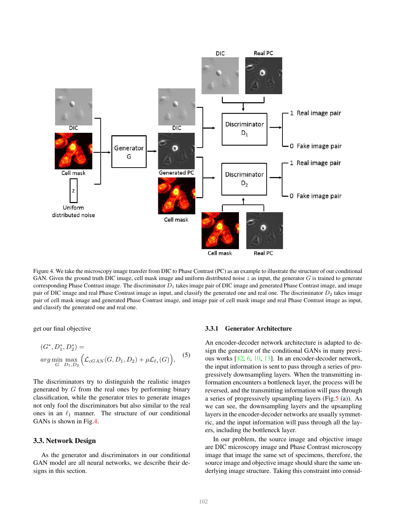<span id="page-3-1"></span>

<span id="page-3-0"></span>Figure 4. We take the microscopy image transfer from DIC to Phase Contrast (PC) as an example to illustrate the structure of our conditional GAN. Given the ground truth DIC image, cell mask image and uniform distributed noise  $z$  as input, the generator  $G$  is trained to generate corresponding Phase Contrast image. The discriminator  $D_1$  takes image pair of DIC image and generated Phase Contrast image, and image pair of DIC image and real Phase Contrast image as input, and classify the generated one and real one. The discriminator  $D_2$  takes image pair of cell mask image and generated Phase Contrast image, and image pair of cell mask image and real Phase Contrast image as input, and classify the generated one and real one.

get our final objective

$$
(G^*, D_1^*, D_2^*) = \arg\min_{G} \max_{D_1, D_2} \left( \mathcal{L}_{cGAN}(G, D_1, D_2) + \mu \mathcal{L}_{\ell_1}(G) \right), \quad (5)
$$

The discriminators try to distinguish the realistic images generated by G from the real ones by performing binary classification, while the generator tries to generate images not only fool the discriminators but also similar to the real ones in an  $\ell_1$  manner. The structure of our conditional GANs is shown in Fig[.4.](#page-3-0)

#### 3.3. Network Design

As the generator and discriminators in our conditional GAN model are all neural networks, we describe their designs in this section.

## 3.3.1 Generator Architecture

An encoder-decoder network architecture is adapted to design the generator of the conditional GANs in many previous works [\[12,](#page-8-11) [6,](#page-8-5) [10,](#page-8-9) [13\]](#page-8-12). In an encoder-decoder network, the input information is sent to pass through a series of progressively downsampling layers. When the transmitting information encounters a bottleneck layer, the process will be reversed, and the transmitting information will pass through a series of progressively upsampling layers (Fig[.5](#page-4-0) (a)). As we can see, the downsampling layers and the upsampling layers in the encoder-decoder networks are usually symmetric, and the input information will pass through all the layers, including the bottleneck layer.

In our problem, the source image and objective image are DIC microscopy image and Phase Contrast microscopy image that image the same set of specimens, therefore, the source image and objective image should share the same underlying image structure. Taking this constraint into consid-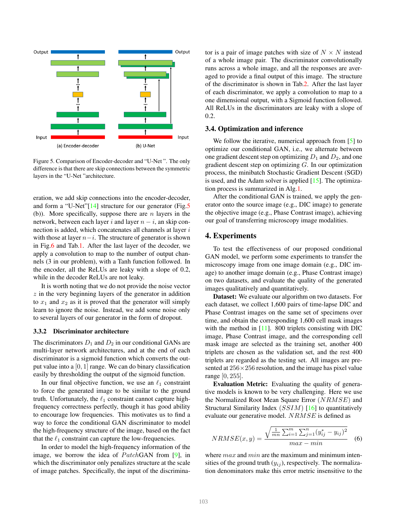<span id="page-4-1"></span>

<span id="page-4-0"></span>Figure 5. Comparison of Encoder-decoder and "U-Net ". The only difference is that there are skip connections between the symmetric layers in the "U-Net "architecture.

eration, we add skip connections into the encoder-decoder, and form a "U-Net"[\[14\]](#page-8-13) structure for our generator (Fig[.5](#page-4-0) (b)). More specifically, suppose there are n layers in the network, between each layer i and layer  $n - i$ , an skip connection is added, which concatenates all channels at layer i with those at layer  $n-i$ . The structure of generator is shown in Fig[.6](#page-5-0) and Tab[.1.](#page-5-1) After the last layer of the decoder, we apply a convolution to map to the number of output channels (3 in our problem), with a Tanh function followed. In the encoder, all the ReLUs are leaky with a slope of 0.2, while in the decoder ReLUs are not leaky.

It is worth noting that we do not provide the noise vector  $z$  in the very beginning layers of the generator in addition to  $x_1$  and  $x_2$  as it is proved that the generator will simply learn to ignore the noise. Instead, we add some noise only to several layers of our generator in the form of dropout.

#### 3.3.2 Discriminator architecture

The discriminators  $D_1$  and  $D_2$  in our conditional GANs are multi-layer network architectures, and at the end of each discriminator is a sigmoid function which converts the output value into a  $[0, 1]$  range. We can do binary classification easily by thresholding the output of the sigmoid function.

In our final objective function, we use an  $\ell_1$  constraint to force the generated image to be similar to the ground truth. Unfortunately, the  $\ell_1$  constraint cannot capture highfrequency correctness perfectly, though it has good ability to encourage low frequencies. This motivates us to find a way to force the conditional GAN discriminator to model the high-frequency structure of the image, based on the fact that the  $\ell_1$  constraint can capture the low-frequencies.

In order to model the high-frequency information of the image, we borrow the idea of  $PatchGAN$  from [\[9\]](#page-8-8), in which the discriminator only penalizes structure at the scale of image patches. Specifically, the input of the discriminator is a pair of image patches with size of  $N \times N$  instead of a whole image pair. The discriminator convolutionally runs across a whole image, and all the responses are averaged to provide a final output of this image. The structure of the discriminator is shown in Tab[.2.](#page-5-2) After the last layer of each discriminator, we apply a convolution to map to a one dimensional output, with a Sigmoid function followed. All ReLUs in the discriminators are leaky with a slope of 0.2.

#### 3.4. Optimization and inference

We follow the iterative, numerical approach from [\[5\]](#page-8-4) to optimize our conditional GAN, i.e., we alternate between one gradient descent step on optimizing  $D_1$  and  $D_2$ , and one gradient descent step on optimizing  $G$ . In our optimization process, the minibatch Stochastic Gradient Descent (SGD) is used, and the Adam solver is applied [\[15\]](#page-8-14). The optimization process is summarized in Alg[.1.](#page-6-0)

After the conditional GAN is trained, we apply the generator onto the source image (e.g., DIC image) to generate the objective image (e.g., Phase Contrast image), achieving our goal of transferring microscopy image modalities.

## 4. Experiments

To test the effectiveness of our proposed conditional GAN model, we perform some experiments to transfer the microscopy image from one image domain (e.g., DIC image) to another image domain (e.g., Phase Contrast image) on two datasets, and evaluate the quality of the generated images qualitatively and quantitatively.

Dataset: We evaluate our algorithm on two datasets. For each dataset, we collect 1,600 pairs of time-lapse DIC and Phase Contrast images on the same set of specimens over time, and obtain the corresponding 1,600 cell mask images with the method in [\[11\]](#page-8-10). 800 triplets consisting with DIC image, Phase Contrast image, and the corresponding cell mask image are selected as the training set, another 400 triplets are chosen as the validation set, and the rest 400 triplets are regarded as the testing set. All images are presented at  $256 \times 256$  resolution, and the image has pixel value range [0, 255].

Evaluation Metric: Evaluating the quality of generative models is known to be very challenging. Here we use the Normalized Root Mean Square Error  $(NRMSE)$  and Structural Similarity Index  $(SSIM)$  [\[16\]](#page-8-15) to quantitatively evaluate our generative model. NRMSE is defined as

$$
NRMSE(x, y) = \frac{\sqrt{\frac{1}{mn} \sum_{i=1}^{m} \sum_{j=1}^{n} (y_{ij}^{*} - y_{ij})^{2}}}{max - min}
$$
(6)

where  $max$  and  $min$  are the maximum and minimum intensities of the ground truth  $(y_{ij})$ , respectively. The normalization denominators make this error metric insensitive to the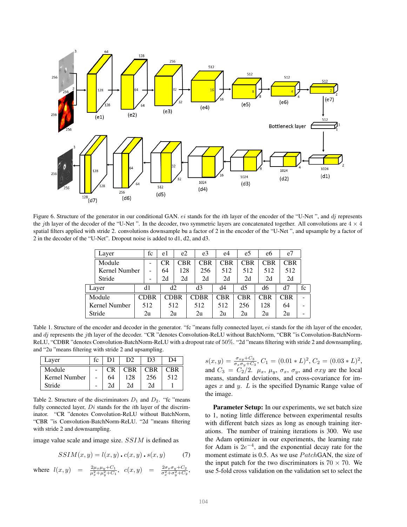

<span id="page-5-0"></span>Figure 6. Structure of the generator in our conditional GAN. ei stands for the ith layer of the encoder of the "U-Net", and dj represents the jth layer of the decoder of the "U-Net". In the decoder, two symmetric layers are concatenated together. All convolutions are  $4 \times 4$ spatial filters applied with stride 2. convolutions downsample bu a factor of 2 in the encoder of the "U-Net ", and upsample by a factor of 2 in the decoder of the "U-Net". Dropout noise is added to d1, d2, and d3.

|               | Layer         |  | fс   | e1          | e <sub>2</sub> | e3         | e4         | e5         | eb         | e7         |    |
|---------------|---------------|--|------|-------------|----------------|------------|------------|------------|------------|------------|----|
|               | Module        |  |      | CR          | <b>CBR</b>     | <b>CBR</b> | <b>CBR</b> | <b>CBR</b> | <b>CBR</b> | CBR        |    |
|               | Kernel Number |  |      | 64          | 128            | 256        | 512        | 512        | 512        | 512        |    |
|               | Stride        |  |      | 2d          | 2d             | 2d         | 2d         | 2d         | 2d         | 2d         |    |
| Layer         |               |  | d1   | d2          |                | d3         | d4         | d5         | d6         | d7         | fc |
| Module        |               |  | CDBR | <b>CDBR</b> |                | CDBR       | <b>CBR</b> | <b>CBR</b> | <b>CBR</b> | <b>CBR</b> |    |
| Kernel Number |               |  | 512  | 512         |                | 512        | 512        | 256        | 128        | 64         |    |
| Stride        |               |  | 2u   | 2u          |                | 2u         | 2u         | 2u         | 2u         | 2u         |    |

<span id="page-5-1"></span>Table 1. Structure of the encoder and decoder in the generator. "fc "means fully connected layer, ei stands for the ith layer of the encoder, and  $dj$  represents the jth layer of the decoder. "CR "denotes Convolution-ReLU without BatchNorm, "CBR "is Convolution-BatchNorm-ReLU, "CDBR "denotes Convolution-BatchNorm-ReLU with a dropout rate of 50%. "2d "means filtering with stride 2 and downsampling, and "2u "means filtering with stride 2 and upsampling.

| Layer         | fc             | D1  | D <sub>2</sub> | D3         | D4         |
|---------------|----------------|-----|----------------|------------|------------|
| Module        |                | CR. | <b>CBR</b>     | <b>CBR</b> | <b>CBR</b> |
| Kernel Number |                | 64  | 128            | 256        | 512        |
| Stride        | $\overline{a}$ | 2d  | 2d             | 2d         |            |

<span id="page-5-2"></span>Table 2. Structure of the discriminators  $D_1$  and  $D_2$ . "fc "means fully connected layer,  $Di$  stands for the *i*th layer of the discriminator. "CR "denotes Convolution-ReLU without BatchNorm, "CBR "is Convolution-BatchNorm-ReLU. "2d "means filtering with stride 2 and downsampling.

image value scale and image size. SSIM is defined as

$$
SSIM(x, y) = l(x, y) \cdot c(x, y) \cdot s(x, y) \tag{7}
$$

where  $l(x, y) = \frac{2\mu_x \mu_y + C_1}{\mu_x^2 + \mu_y^2 + C_1}$ ,  $c(x, y) = \frac{2\sigma_x \sigma_y + C_2}{\sigma_x^2 + \sigma_y^2 + C_2}$ ,

 $s(x,y) = \frac{\sigma_{xy} + C_3}{\sigma_x \sigma_y + C_3}, C_1 = (0.01 * L)^2, C_2 = (0.03 * L)^2,$ and  $C_3 = C_2/2$ .  $\mu_x$ ,  $\mu_y$ ,  $\sigma_x$ ,  $\sigma_y$ , and  $\sigma xy$  are the local means, standard deviations, and cross-covariance for images x and y.  $L$  is the specified Dynamic Range value of the image.

Parameter Setup: In our experiments, we set batch size to 1, noting little difference between experimental results with different batch sizes as long as enough training iterations. The number of training iterations is 300. We use the Adam optimizer in our experiments, the learning rate for Adam is  $2e^{-4}$ , and the exponential decay rate for the moment estimate is 0.5. As we use  $PatchGAN$ , the size of the input patch for the two discriminators is  $70 \times 70$ . We use 5-fold cross validation on the validation set to select the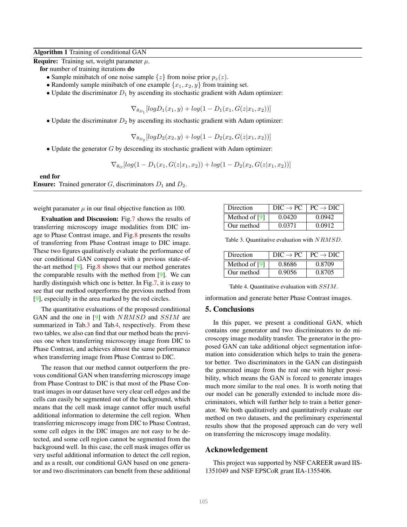## <span id="page-6-3"></span><span id="page-6-0"></span>Algorithm 1 Training of conditional GAN

**Require:** Training set, weight parameter  $\mu$ .

for number of training iterations do

- Sample minibatch of one noise sample  $\{z\}$  from noise prior  $p_z(z)$ .
- Randomly sample minibatch of one example  $\{x_1, x_2, y\}$  from training set.
- Update the discriminator  $D_1$  by ascending its stochastic gradient with Adam optimizer:

 $\nabla_{\theta_{D_1}}[log D_1(x_1, y) + log(1 - D_1(x_1, G(z|x_1, x_2))]$ 

• Update the discriminator  $D_2$  by ascending its stochastic gradient with Adam optimizer:

 $\nabla_{\theta_{D_2}}[log D_2(x_2, y) + log(1 - D_2(x_2, G(z|x_1, x_2))]$ 

 $\bullet$  Update the generator  $G$  by descending its stochastic gradient with Adam optimizer:

 $\nabla_{\theta_G}[log(1 - D_1(x_1, G(z|x_1, x_2)) + log(1 - D_2(x_2, G(z|x_1, x_2)))]$ 

#### end for

**Ensure:** Trained generator G, discriminators  $D_1$  and  $D_2$ .

weight paramater  $\mu$  in our final objective function as 100.

Evaluation and Discussion: Fig[.7](#page-7-0) shows the results of transferring microscopy image modalities from DIC image to Phase Contrast image, and Fig[.8](#page-7-1) presents the results of transferring from Phase Contrast image to DIC image. These two figures qualitatively evaluate the performance of our conditional GAN compared with a previous state-ofthe-art method  $[9]$ . Fig[.8](#page-7-1) shows that our method generates the comparable results with the method from  $[9]$ . We can hardly distinguish which one is better. In Fig[.7,](#page-7-0) it is easy to see that our method outperforms the previous method from [\[9\]](#page-8-8), especially in the area marked by the red circles.

The quantitative evaluations of the proposed conditional GAN and the one in [\[9\]](#page-8-8) with NRMSD and SSIM are summarized in Tab[.3](#page-6-1) and Tab[.4,](#page-6-2) respectively. From these two tables, we also can find that our method beats the previous one when transferring microscopy image from DIC to Phase Contrast, and achieves almost the same performance when transferring image from Phase Contrast to DIC.

The reason that our method cannot outperform the prevous conditional GAN when transferring microscopy image from Phase Contrast to DIC is that most of the Phase Contrast images in our dataset have very clear cell edges and the cells can easily be segmented out of the background, which means that the cell mask image cannot offer much useful additional information to determine the cell region. When transferring microscopy image from DIC to Phase Contrast, some cell edges in the DIC images are not easy to be detected, and some cell region cannot be segmented from the background well. In this case, the cell mask images offer us very useful additional information to detect the cell region, and as a result, our conditional GAN based on one generator and two discriminators can benefit from these additional

| Direction     | $DIC \rightarrow PC$ | $PC \rightarrow DIC$ |  |  |
|---------------|----------------------|----------------------|--|--|
| Method of [9] | 0.0420               | 0.0942               |  |  |
| Our method    | 0.0371               | 0.0912               |  |  |

<span id="page-6-1"></span>Table 3. Quantitative evaluation with NRMSD.

| Direction       |        | $DIC \rightarrow PC \perp PC \rightarrow DIC$ |
|-----------------|--------|-----------------------------------------------|
| Method of $[9]$ | 0.8686 | 0.8709                                        |
| Our method      | 0.9056 | 0.8705                                        |

<span id="page-6-2"></span>Table 4. Quantitative evaluation with SSIM.

information and generate better Phase Contrast images.

#### 5. Conclusions

In this paper, we present a conditional GAN, which contains one generator and two discriminators to do microscopy image modality transfer. The generator in the proposed GAN can take additional object segmentation information into consideration which helps to train the generator better. Two discriminators in the GAN can distinguish the generated image from the real one with higher possibility, which means the GAN is forced to generate images much more similar to the real ones. It is worth noting that our model can be generally extended to include more discriminators, which will further help to train a better generator. We both qualitatively and quantitatively evaluate our method on two datasets, and the preliminary experimental results show that the proposed approach can do very well on transferring the microscopy image modality.

## Acknowledgement

This project was supported by NSF CAREER award IIS-1351049 and NSF EPSCoR grant IIA-1355406.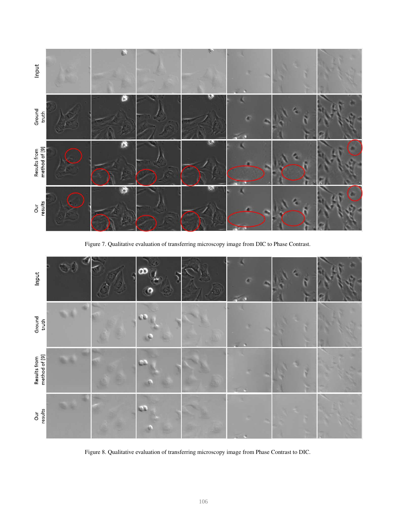

<span id="page-7-0"></span>Figure 7. Qualitative evaluation of transferring microscopy image from DIC to Phase Contrast.



<span id="page-7-1"></span>Figure 8. Qualitative evaluation of transferring microscopy image from Phase Contrast to DIC.